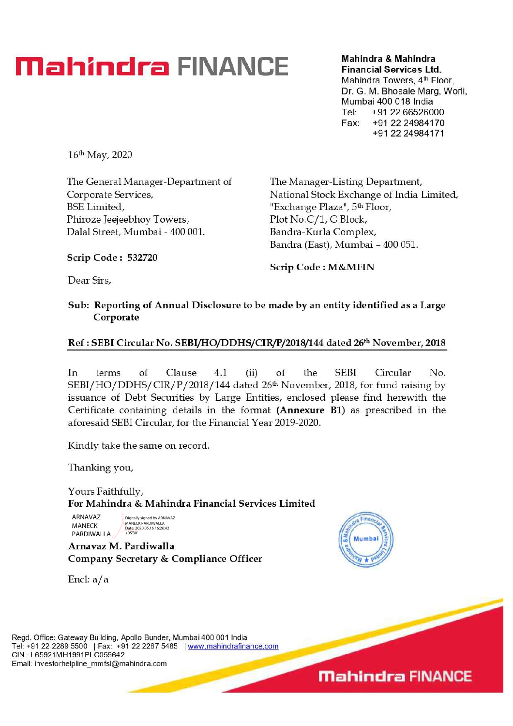# **Mahindra & Mahindra & Mahindra & Mahindra**

Financial Services Ltd.

Mahindra Towers, 4<sup>th</sup> Floor, Dr. G. M. Bhosale Marg, Worli, Mumbai 400 018 India Tel: +91 22 66526000 Fax: +91 22 24984170 +91 22 24984171

16th May, 2020

The General Manager-Department of Corporate Services, BSE Limited, Phiroze Jeejeebhoy Towers, Da1a1 Street, Mumbai - 400 001.

The Manager-Listing Department, National Stock Exchange of India Limited, 'Exchange Plaza'', 5th Floor, Plot No.C/1, G Block, Bandra-Kurla Complex, Bandra (East), Mumbai - 400 051.

Scrip Code : 532720

Scrip Code : M &MFIN

Dear Sirs,

### Sub: Reporting of Annual Disclosure to be made by an entity identified as a Large Corporate

# Ref : SEBI Circular No. SEBI/HO/DDHS/CIR/P/2018/144 dated 26th November, 2018

In terms of Clause 4.1 (ii) of the SEBI Circular No. SEBI/HO/DDHS/ CIR/P/2018/144 dated 26th November, 2018, for fund raising by issuance of Debt Securities by Large Entities, enclosed please find herewith the Certificate containing details in the format (Annexure B1) as prescribed in the aforesaid SEBI Circular, for the Financial Year 2019-2020.

Kindly take the same on record.

Thanking you,

Yours Faithfully, For Mahindra & Mahindra Financial Services Limited

ARNAVAZ MANECK PARDIWALLA

Digitally signed by ARNAVAZ MANECK PARDIWALLA Date: 2020.05.16 16:26:42 +05'30'

Arnavaz M. Pardiwalla Company Secretary & Compliance Officer

Encl: a/a



Regd. Office: Gateway Building, Apollo Bunder, Mumbai 400 001 India Tel: +91 22 2289 5500 | Fax: +91 22 2287 5485 | www.mahindrafinance.com CIN : L65921MH1991PLC059642 Email: investorhelpline\_mmfsl@mahindra.com

**Mahindra FINANCE**